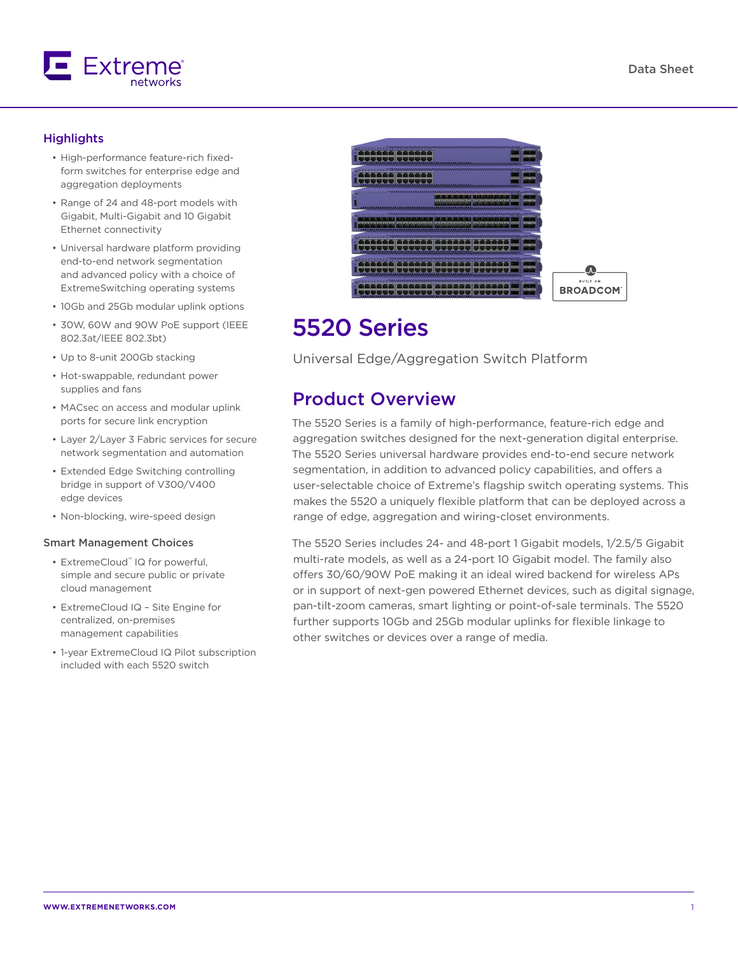

### **Highlights**

- High-performance feature-rich fixedform switches for enterprise edge and aggregation deployments
- Range of 24 and 48-port models with Gigabit, Multi-Gigabit and 10 Gigabit Ethernet connectivity
- Universal hardware platform providing end-to-end network segmentation and advanced policy with a choice of ExtremeSwitching operating systems
- 10Gb and 25Gb modular uplink options
- 30W, 60W and 90W PoE support (IEEE 802.3at/IEEE 802.3bt)
- Up to 8-unit 200Gb stacking
- Hot-swappable, redundant power supplies and fans
- MACsec on access and modular uplink ports for secure link encryption
- Layer 2/Layer 3 Fabric services for secure network segmentation and automation
- Extended Edge Switching controlling bridge in support of V300/V400 edge devices
- Non-blocking, wire-speed design

### Smart Management Choices

- ExtremeCloud™ IQ for powerful, simple and secure public or private cloud management
- ExtremeCloud IQ Site Engine for centralized, on-premises management capabilities
- 1-year ExtremeCloud IQ Pilot subscription included with each 5520 switch



## 5520 Series

Universal Edge/Aggregation Switch Platform

## Product Overview

The 5520 Series is a family of high-performance, feature-rich edge and aggregation switches designed for the next-generation digital enterprise. The 5520 Series universal hardware provides end-to-end secure network segmentation, in addition to advanced policy capabilities, and offers a user-selectable choice of Extreme's flagship switch operating systems. This makes the 5520 a uniquely flexible platform that can be deployed across a range of edge, aggregation and wiring-closet environments.

The 5520 Series includes 24- and 48-port 1 Gigabit models, 1/2.5/5 Gigabit multi-rate models, as well as a 24-port 10 Gigabit model. The family also offers 30/60/90W PoE making it an ideal wired backend for wireless APs or in support of next-gen powered Ethernet devices, such as digital signage, pan-tilt-zoom cameras, smart lighting or point-of-sale terminals. The 5520 further supports 10Gb and 25Gb modular uplinks for flexible linkage to other switches or devices over a range of media.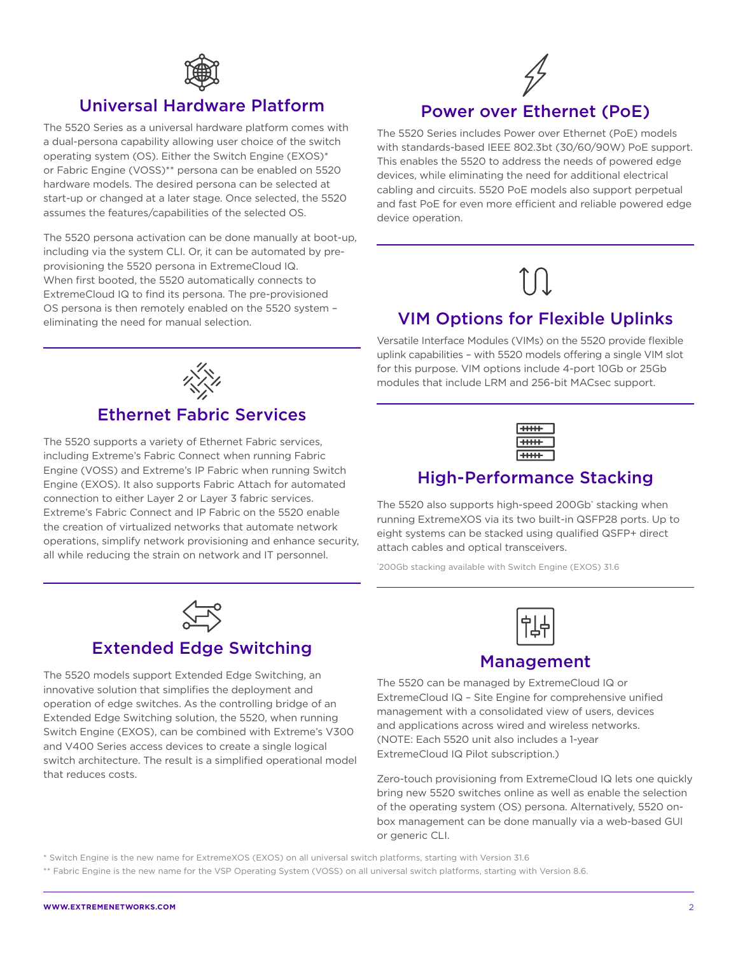

### Universal Hardware Platform

The 5520 Series as a universal hardware platform comes with a dual-persona capability allowing user choice of the switch operating system (OS). Either the Switch Engine (EXOS)\* or Fabric Engine (VOSS)\*\* persona can be enabled on 5520 hardware models. The desired persona can be selected at start-up or changed at a later stage. Once selected, the 5520 assumes the features/capabilities of the selected OS.

The 5520 persona activation can be done manually at boot-up, including via the system CLI. Or, it can be automated by preprovisioning the 5520 persona in ExtremeCloud IQ. When first booted, the 5520 automatically connects to ExtremeCloud IQ to find its persona. The pre-provisioned OS persona is then remotely enabled on the 5520 system – eliminating the need for manual selection.



## Power over Ethernet (PoE)

The 5520 Series includes Power over Ethernet (PoE) models with standards-based IEEE 802.3bt (30/60/90W) PoE support. This enables the 5520 to address the needs of powered edge devices, while eliminating the need for additional electrical cabling and circuits. 5520 PoE models also support perpetual and fast PoE for even more efficient and reliable powered edge device operation.

## VIM Options for Flexible Uplinks

Versatile Interface Modules (VIMs) on the 5520 provide flexible uplink capabilities – with 5520 models offering a single VIM slot for this purpose. VIM options include 4-port 10Gb or 25Gb modules that include LRM and 256-bit MACsec support.

| ┅<br>┍ |
|--------|
| ┯      |
|        |

### High-Performance Stacking

The 5520 also supports high-speed 200Gb\* stacking when running ExtremeXOS via its two built-in QSFP28 ports. Up to eight systems can be stacked using qualified QSFP+ direct attach cables and optical transceivers.

\* 200Gb stacking available with Switch Engine (EXOS) 31.6



### Management

The 5520 can be managed by ExtremeCloud IQ or ExtremeCloud IQ – Site Engine for comprehensive unified management with a consolidated view of users, devices and applications across wired and wireless networks. (NOTE: Each 5520 unit also includes a 1-year ExtremeCloud IQ Pilot subscription.)

Zero-touch provisioning from ExtremeCloud IQ lets one quickly bring new 5520 switches online as well as enable the selection of the operating system (OS) persona. Alternatively, 5520 onbox management can be done manually via a web-based GUI or generic CLI.

\* Switch Engine is the new name for ExtremeXOS (EXOS) on all universal switch platforms, starting with Version 31.6

\*\* Fabric Engine is the new name for the VSP Operating System (VOSS) on all universal switch platforms, starting with Version 8.6.



## Ethernet Fabric Services

The 5520 supports a variety of Ethernet Fabric services, including Extreme's Fabric Connect when running Fabric Engine (VOSS) and Extreme's IP Fabric when running Switch Engine (EXOS). It also supports Fabric Attach for automated connection to either Layer 2 or Layer 3 fabric services. Extreme's Fabric Connect and IP Fabric on the 5520 enable the creation of virtualized networks that automate network operations, simplify network provisioning and enhance security, all while reducing the strain on network and IT personnel.

Extended Edge Switching

The 5520 models support Extended Edge Switching, an innovative solution that simplifies the deployment and operation of edge switches. As the controlling bridge of an Extended Edge Switching solution, the 5520, when running Switch Engine (EXOS), can be combined with Extreme's V300 and V400 Series access devices to create a single logical switch architecture. The result is a simplified operational model

that reduces costs.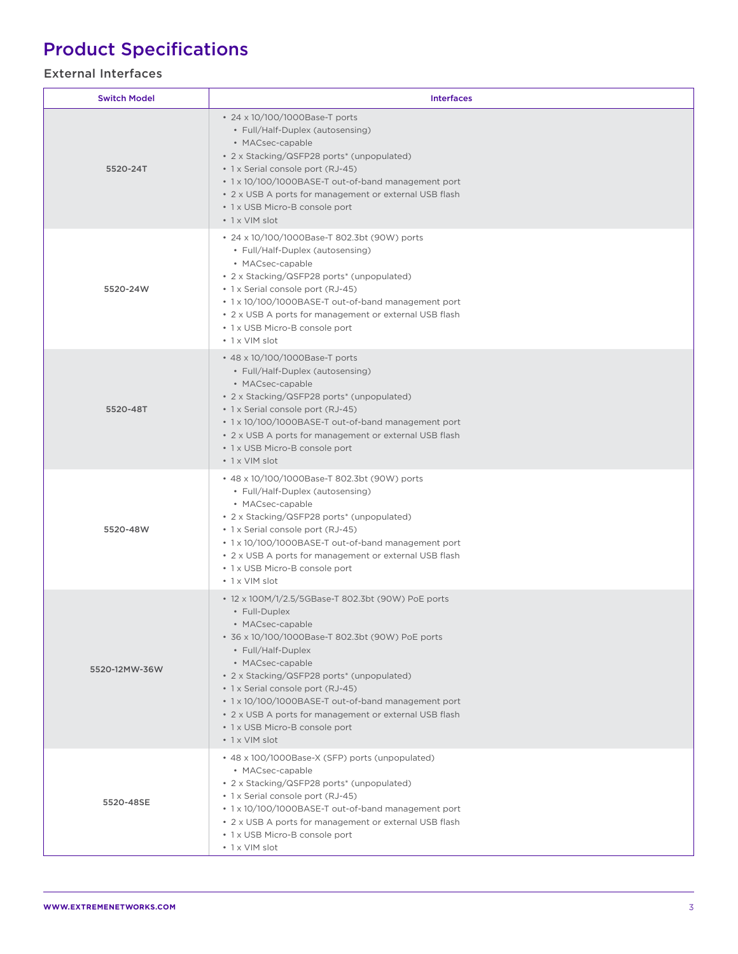# Product Specifications

### External Interfaces

| <b>Switch Model</b> | <b>Interfaces</b>                                                                                                                                                                                                                                                                                                                                                                                                                             |  |  |  |
|---------------------|-----------------------------------------------------------------------------------------------------------------------------------------------------------------------------------------------------------------------------------------------------------------------------------------------------------------------------------------------------------------------------------------------------------------------------------------------|--|--|--|
| 5520-24T            | • 24 x 10/100/1000Base-T ports<br>• Full/Half-Duplex (autosensing)<br>• MACsec-capable<br>• 2 x Stacking/QSFP28 ports* (unpopulated)<br>• 1 x Serial console port (RJ-45)<br>• 1 x 10/100/1000BASE-T out-of-band management port<br>• 2 x USB A ports for management or external USB flash<br>• 1 x USB Micro-B console port<br>• 1 x VIM slot                                                                                                |  |  |  |
| 5520-24W            | • 24 x 10/100/1000Base-T 802.3bt (90W) ports<br>• Full/Half-Duplex (autosensing)<br>• MACsec-capable<br>• 2 x Stacking/QSFP28 ports* (unpopulated)<br>• 1 x Serial console port (RJ-45)<br>• 1 x 10/100/1000BASE-T out-of-band management port<br>• 2 x USB A ports for management or external USB flash<br>• 1 x USB Micro-B console port<br>• 1 x VIM slot                                                                                  |  |  |  |
| 5520-48T            | • 48 x 10/100/1000Base-T ports<br>• Full/Half-Duplex (autosensing)<br>• MACsec-capable<br>• 2 x Stacking/QSFP28 ports* (unpopulated)<br>• 1 x Serial console port (RJ-45)<br>• 1 x 10/100/1000BASE-T out-of-band management port<br>• 2 x USB A ports for management or external USB flash<br>• 1 x USB Micro-B console port<br>• 1 x VIM slot                                                                                                |  |  |  |
| 5520-48W            | • 48 x 10/100/1000Base-T 802.3bt (90W) ports<br>• Full/Half-Duplex (autosensing)<br>• MACsec-capable<br>• 2 x Stacking/QSFP28 ports* (unpopulated)<br>• 1 x Serial console port (RJ-45)<br>• 1 x 10/100/1000BASE-T out-of-band management port<br>• 2 x USB A ports for management or external USB flash<br>• 1 x USB Micro-B console port<br>• 1 x VIM slot                                                                                  |  |  |  |
| 5520-12MW-36W       | • 12 x 100M/1/2.5/5GBase-T 802.3bt (90W) PoE ports<br>• Full-Duplex<br>• MACsec-capable<br>• 36 x 10/100/1000Base-T 802.3bt (90W) PoE ports<br>• Full/Half-Duplex<br>• MACsec-capable<br>• 2 x Stacking/QSFP28 ports* (unpopulated)<br>• 1 x Serial console port (RJ-45)<br>• 1 x 10/100/1000BASE-T out-of-band management port<br>• 2 x USB A ports for management or external USB flash<br>• 1 x USB Micro-B console port<br>• 1 x VIM slot |  |  |  |
| 5520-48SE           | • 48 x 100/1000Base-X (SFP) ports (unpopulated)<br>• MACsec-capable<br>• 2 x Stacking/QSFP28 ports* (unpopulated)<br>• 1 x Serial console port (RJ-45)<br>• 1 x 10/100/1000BASE-T out-of-band management port<br>• 2 x USB A ports for management or external USB flash<br>• 1 x USB Micro-B console port<br>• 1 x VIM slot                                                                                                                   |  |  |  |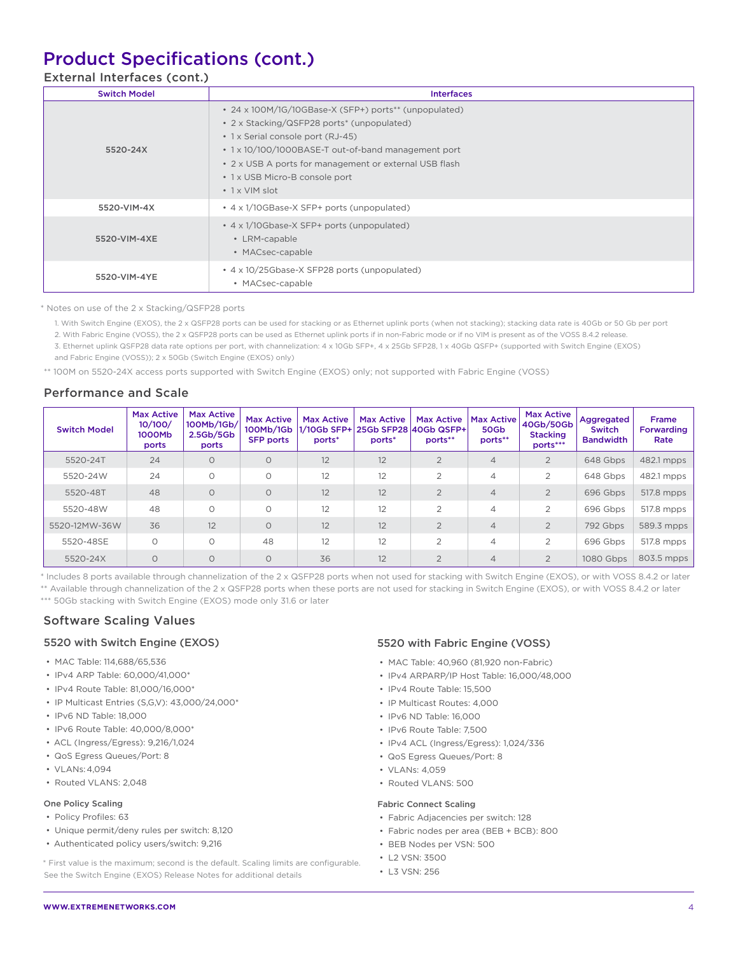## Product Specifications (cont.)

### External Interfaces (cont.)

| <b>Switch Model</b> | <b>Interfaces</b>                                                                                                                                                                                                                                                                                                   |
|---------------------|---------------------------------------------------------------------------------------------------------------------------------------------------------------------------------------------------------------------------------------------------------------------------------------------------------------------|
| 5520-24X            | • 24 x 100M/1G/10GBase-X (SFP+) ports** (unpopulated)<br>• 2 x Stacking/QSFP28 ports* (unpopulated)<br>• 1 x Serial console port (RJ-45)<br>• 1 x 10/100/1000BASE-T out-of-band management port<br>• 2 x USB A ports for management or external USB flash<br>• 1 x USB Micro-B console port<br>$\cdot$ 1 x VIM slot |
| 5520-VIM-4X         | • 4 x 1/10GBase-X SFP+ ports (unpopulated)                                                                                                                                                                                                                                                                          |
| 5520-VIM-4XE        | • 4 x 1/10Gbase-X SFP+ ports (unpopulated)<br>• LRM-capable<br>• MACsec-capable                                                                                                                                                                                                                                     |
| 5520-VIM-4YE        | • 4 x 10/25Gbase-X SFP28 ports (unpopulated)<br>• MACsec-capable                                                                                                                                                                                                                                                    |

\* Notes on use of the 2 x Stacking/QSFP28 ports

1. With Switch Engine (EXOS), the 2 x QSFP28 ports can be used for stacking or as Ethernet uplink ports (when not stacking); stacking data rate is 40Gb or 50 Gb per port

2. With Fabric Engine (VOSS), the 2 x QSFP28 ports can be used as Ethernet uplink ports if in non-Fabric mode or if no VIM is present as of the VOSS 8.4.2 release.

3. Ethernet uplink QSFP28 data rate options per port, with channelization: 4 x 10Gb SFP+, 4 x 25Gb SFP28, 1 x 40Gb QSFP+ (supported with Switch Engine (EXOS)

and Fabric Engine (VOSS)); 2 x 50Gb (Switch Engine (EXOS) only)

\*\* 100M on 5520-24X access ports supported with Switch Engine (EXOS) only; not supported with Fabric Engine (VOSS)

### Performance and Scale

| <b>Switch Model</b> | <b>Max Active</b><br>10/100/<br>1000Mb<br>ports | <b>Max Active</b><br>100Mb/1Gb/<br>2.5 <sub>Gb</sub> /5 <sub>Gb</sub><br>ports | <b>Max Active</b><br>100Mb/1Gb<br><b>SFP ports</b> | <b>Max Active</b><br> 1/10Gb SFP+  25Gb SFP28  40Gb QSFP+ <br>ports* | <b>Max Active</b><br>ports* | <b>Max Active</b><br>ports** | <b>Max Active</b><br>50Gb<br>ports** | <b>Max Active</b><br>40Gb/50Gb<br><b>Stacking</b><br>ports*** | Aggregated<br><b>Switch</b><br><b>Bandwidth</b> | <b>Frame</b><br><b>Forwarding</b><br>Rate |
|---------------------|-------------------------------------------------|--------------------------------------------------------------------------------|----------------------------------------------------|----------------------------------------------------------------------|-----------------------------|------------------------------|--------------------------------------|---------------------------------------------------------------|-------------------------------------------------|-------------------------------------------|
| 5520-24T            | 24                                              | $\circ$                                                                        | $\circ$                                            | 12                                                                   | 12                          | $\overline{2}$               | $\overline{4}$                       | $\overline{2}$                                                | 648 Gbps                                        | 482.1 mpps                                |
| 5520-24W            | 24                                              | $\circ$                                                                        | 0                                                  | 12                                                                   | 12                          | $\overline{2}$               | 4                                    | $\overline{2}$                                                | 648 Gbps                                        | 482.1 mpps                                |
| 5520-48T            | 48                                              | $\Omega$                                                                       | $\circ$                                            | 12                                                                   | 12                          | $\overline{2}$               | 4                                    | $\overline{2}$                                                | 696 Gbps                                        | 517.8 mpps                                |
| 5520-48W            | 48                                              | $\circ$                                                                        | O                                                  | 12                                                                   | 12                          | $\overline{2}$               | 4                                    | 2                                                             | 696 Gbps                                        | 517.8 mpps                                |
| 5520-12MW-36W       | 36                                              | 12                                                                             | $\circ$                                            | 12                                                                   | 12                          | $\overline{2}$               | $\overline{4}$                       | $\overline{2}$                                                | 792 Gbps                                        | 589.3 mpps                                |
| 5520-48SE           | $\circ$                                         | $\circ$                                                                        | 48                                                 | 12                                                                   | 12                          | $\overline{2}$               | $\overline{4}$                       | 2                                                             | 696 Gbps                                        | 517.8 mpps                                |
| 5520-24X            | $\circ$                                         | $\Omega$                                                                       | $\Omega$                                           | 36                                                                   | 12                          | $\overline{2}$               | $\overline{4}$                       | 2                                                             | 1080 Gbps                                       | 803.5 mpps                                |

\* Includes 8 ports available through channelization of the 2 x QSFP28 ports when not used for stacking with Switch Engine (EXOS), or with VOSS 8.4.2 or later \*\* Available through channelization of the 2 x QSFP28 ports when these ports are not used for stacking in Switch Engine (EXOS), or with VOSS 8.4.2 or later \*\*\* 50Gb stacking with Switch Engine (EXOS) mode only 31.6 or later

### Software Scaling Values

### 5520 with Switch Engine (EXOS)

- MAC Table: 114,688/65,536
- IPv4 ARP Table: 60,000/41,000\*
- IPv4 Route Table: 81,000/16,000\*
- IP Multicast Entries (S,G,V): 43,000/24,000\*
- IPv6 ND Table: 18,000
- IPv6 Route Table: 40,000/8,000\*
- ACL (Ingress/Egress): 9,216/1,024
- QoS Egress Queues/Port: 8
- VLANs:4,094
- Routed VLANS: 2,048

### One Policy Scaling

- Policy Profiles: 63
- Unique permit/deny rules per switch: 8,120
- Authenticated policy users/switch: 9,216

\* First value is the maximum; second is the default. Scaling limits are configurable. See the Switch Engine (EXOS) Release Notes for additional details

### 5520 with Fabric Engine (VOSS)

- MAC Table: 40,960 (81,920 non-Fabric)
- IPv4 ARPARP/IP Host Table: 16,000/48,000
- IPv4 Route Table: 15,500
- IP Multicast Routes: 4,000
- IPv6 ND Table: 16,000
- IPv6 Route Table: 7,500
- IPv4 ACL (Ingress/Egress): 1,024/336
- QoS Egress Queues/Port: 8
- VLANs: 4,059
- Routed VLANS: 500

#### Fabric Connect Scaling

- Fabric Adjacencies per switch: 128
- Fabric nodes per area (BEB + BCB): 800
- BEB Nodes per VSN: 500
- L2 VSN: 3500
- L3 VSN: 256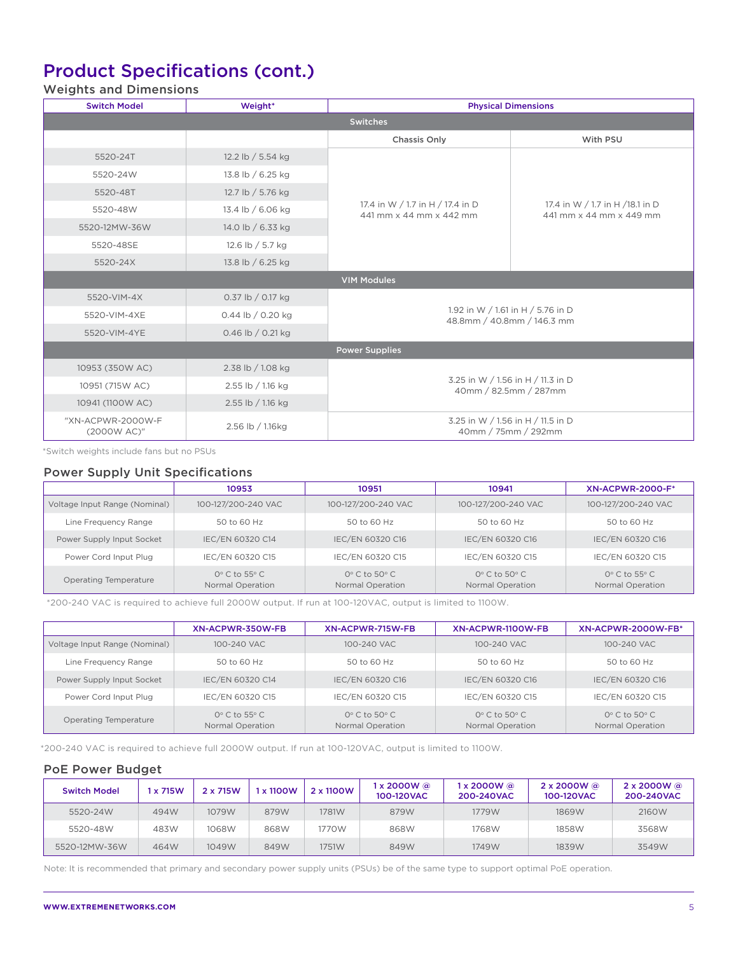## Product Specifications (cont.)

### Weights and Dimensions

| <b>Switch Model</b>              | Weight*           | <b>Physical Dimensions</b>                                      |                                                             |  |  |
|----------------------------------|-------------------|-----------------------------------------------------------------|-------------------------------------------------------------|--|--|
| <b>Switches</b>                  |                   |                                                                 |                                                             |  |  |
|                                  |                   | <b>Chassis Only</b>                                             | With PSU                                                    |  |  |
| 5520-24T                         | 12.2 lb / 5.54 kg |                                                                 |                                                             |  |  |
| 5520-24W                         | 13.8 lb / 6.25 kg |                                                                 |                                                             |  |  |
| 5520-48T                         | 12.7 lb / 5.76 kg |                                                                 |                                                             |  |  |
| 5520-48W                         | 13.4 lb / 6.06 kg | 17.4 in W / 1.7 in H / 17.4 in D<br>441 mm x 44 mm x 442 mm     | 17.4 in W / 1.7 in H / 18.1 in D<br>441 mm x 44 mm x 449 mm |  |  |
| 5520-12MW-36W                    | 14.0 lb / 6.33 kg |                                                                 |                                                             |  |  |
| 5520-48SE                        | 12.6 lb / 5.7 kg  |                                                                 |                                                             |  |  |
| 5520-24X                         | 13.8 lb / 6.25 kg |                                                                 |                                                             |  |  |
|                                  |                   | <b>VIM Modules</b>                                              |                                                             |  |  |
| 5520-VIM-4X                      | 0.37 lb / 0.17 kg |                                                                 |                                                             |  |  |
| 5520-VIM-4XE                     | 0.44 lb / 0.20 kg | 1.92 in W / 1.61 in H / 5.76 in D<br>48.8mm / 40.8mm / 146.3 mm |                                                             |  |  |
| 5520-VIM-4YE                     | 0.46 lb / 0.21 kg |                                                                 |                                                             |  |  |
|                                  |                   | <b>Power Supplies</b>                                           |                                                             |  |  |
| 10953 (350W AC)                  | 2.38 lb / 1.08 kg |                                                                 |                                                             |  |  |
| 10951 (715W AC)                  | 2.55 lb / 1.16 kg | 3.25 in W / 1.56 in H / 11.3 in D<br>40mm / 82.5mm / 287mm      |                                                             |  |  |
| 10941 (1100W AC)                 | 2.55 lb / 1.16 kg |                                                                 |                                                             |  |  |
| "XN-ACPWR-2000W-F<br>(2000W AC)" | 2.56 lb / 1.16kg  | 3.25 in W / 1.56 in H / 11.5 in D<br>40mm / 75mm / 292mm        |                                                             |  |  |

\*Switch weights include fans but no PSUs

### Power Supply Unit Specifications

|                               | 10953                                            | 10951                                                | 10941                                                | <b>XN-ACPWR-2000-F*</b>                          |
|-------------------------------|--------------------------------------------------|------------------------------------------------------|------------------------------------------------------|--------------------------------------------------|
| Voltage Input Range (Nominal) | 100-127/200-240 VAC                              | 100-127/200-240 VAC                                  | 100-127/200-240 VAC                                  | 100-127/200-240 VAC                              |
| Line Frequency Range          | 50 to 60 Hz                                      | 50 to 60 Hz                                          | 50 to 60 Hz                                          | 50 to 60 Hz                                      |
| Power Supply Input Socket     | IEC/EN 60320 C14                                 | IEC/EN 60320 C16                                     | IEC/EN 60320 C16                                     | IEC/EN 60320 C16                                 |
| Power Cord Input Plug         | IEC/EN 60320 C15                                 | IEC/EN 60320 C15                                     | IEC/EN 60320 C15                                     | IEC/EN 60320 C15                                 |
| Operating Temperature         | $0^\circ$ C to 55 $^\circ$ C<br>Normal Operation | $Q^{\circ}$ C to 50 $^{\circ}$ C<br>Normal Operation | $Q^{\circ}$ C to 50 $^{\circ}$ C<br>Normal Operation | $0^\circ$ C to 55 $^\circ$ C<br>Normal Operation |

\*200-240 VAC is required to achieve full 2000W output. If run at 100-120VAC, output is limited to 1100W.

|                               | XN-ACPWR-350W-FB                                 | XN-ACPWR-715W-FB                                     | XN-ACPWR-1100W-FB                                | XN-ACPWR-2000W-FB*                               |
|-------------------------------|--------------------------------------------------|------------------------------------------------------|--------------------------------------------------|--------------------------------------------------|
| Voltage Input Range (Nominal) | 100-240 VAC                                      | 100-240 VAC                                          | 100-240 VAC                                      | 100-240 VAC                                      |
| Line Frequency Range          | 50 to 60 Hz                                      | 50 to 60 Hz                                          | 50 to 60 Hz                                      | 50 to 60 Hz                                      |
| Power Supply Input Socket     | IEC/EN 60320 C14                                 | IEC/EN 60320 C16                                     | IEC/EN 60320 C16                                 | IEC/EN 60320 C16                                 |
| Power Cord Input Plug         | IEC/EN 60320 C15                                 | IEC/EN 60320 C15                                     | IEC/EN 60320 C15                                 | IEC/EN 60320 C15                                 |
| Operating Temperature         | $0^\circ$ C to 55 $^\circ$ C<br>Normal Operation | $Q^{\circ}$ C to 50 $^{\circ}$ C<br>Normal Operation | $0^\circ$ C to 50 $^\circ$ C<br>Normal Operation | $0^\circ$ C to 50 $^\circ$ C<br>Normal Operation |

\*200-240 VAC is required to achieve full 2000W output. If run at 100-120VAC, output is limited to 1100W.

### PoE Power Budget

| <b>Switch Model</b> | x 715W | 2 x 715W | 1 x 1100W | 2 x 1100W | ∣x 2000W @<br>100-120VAC | 1 x 2000W @<br>200-240VAC | $2 \times 2000W$ @<br>100-120VAC | $2 \times 2000W$ @<br>200-240VAC |
|---------------------|--------|----------|-----------|-----------|--------------------------|---------------------------|----------------------------------|----------------------------------|
| 5520-24W            | 494W   | 1079W    | 879W      | 1781W     | 879W                     | 1779W                     | 1869W                            | 2160W                            |
| 5520-48W            | 483W   | 1068W    | 868W      | 1770W     | 868W                     | 1768W                     | 1858W                            | 3568W                            |
| 5520-12MW-36W       | 464W   | 1049W    | 849W      | 1751W     | 849W                     | 1749W                     | 1839W                            | 3549W                            |

Note: It is recommended that primary and secondary power supply units (PSUs) be of the same type to support optimal PoE operation.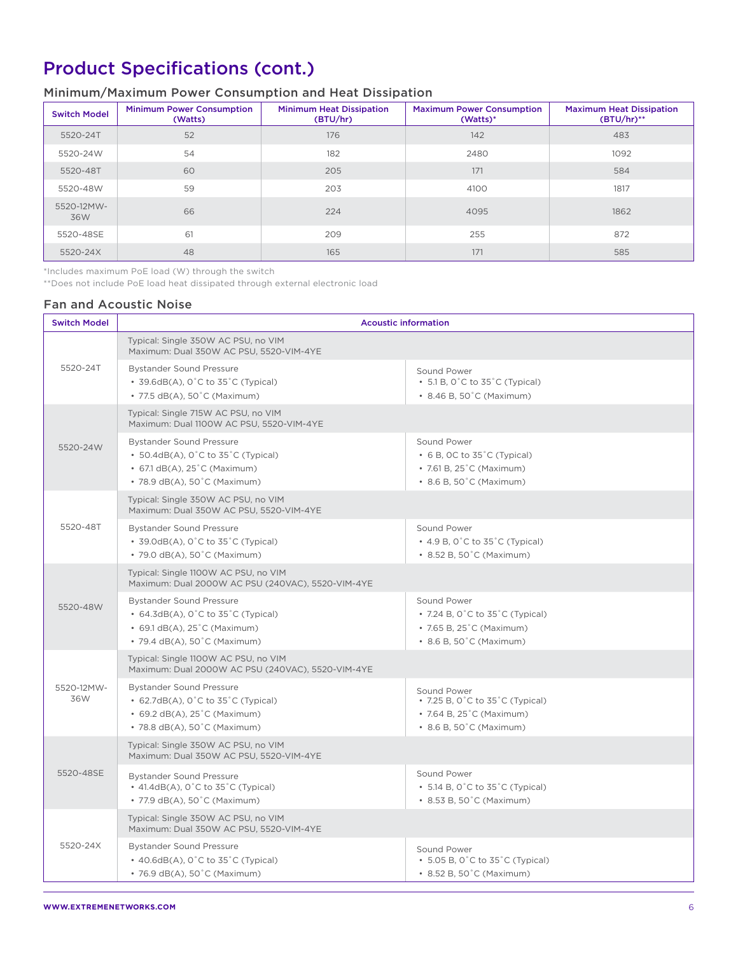## Product Specifications (cont.)

### Minimum/Maximum Power Consumption and Heat Dissipation

| <b>Switch Model</b> | <b>Minimum Power Consumption</b><br>(Watts) | <b>Minimum Heat Dissipation</b><br>(BTU/hr) | <b>Maximum Power Consumption</b><br>(Watts)* | <b>Maximum Heat Dissipation</b><br>$(BTU/hr)$ ** |
|---------------------|---------------------------------------------|---------------------------------------------|----------------------------------------------|--------------------------------------------------|
| 5520-24T            | 52                                          | 176                                         | 142                                          | 483                                              |
| 5520-24W            | 54                                          | 182                                         | 2480                                         | 1092                                             |
| 5520-48T            | 60                                          | 205                                         | 171                                          | 584                                              |
| 5520-48W            | 59                                          | 203                                         | 4100                                         | 1817                                             |
| 5520-12MW-<br>36W   | 66                                          | 224                                         | 4095                                         | 1862                                             |
| 5520-48SE           | 61                                          | 209                                         | 255                                          | 872                                              |
| 5520-24X            | 48                                          | 165                                         | 171                                          | 585                                              |

\*Includes maximum PoE load (W) through the switch

\*\*Does not include PoE load heat dissipated through external electronic load

### Fan and Acoustic Noise

| <b>Switch Model</b> | <b>Acoustic information</b>                                                                                                                                                |                                                                                                                                      |  |  |  |  |
|---------------------|----------------------------------------------------------------------------------------------------------------------------------------------------------------------------|--------------------------------------------------------------------------------------------------------------------------------------|--|--|--|--|
|                     | Typical: Single 350W AC PSU, no VIM<br>Maximum: Dual 350W AC PSU, 5520-VIM-4YE                                                                                             |                                                                                                                                      |  |  |  |  |
| 5520-24T            | <b>Bystander Sound Pressure</b><br>• $39.6dB(A)$ , 0°C to $35^{\circ}$ C (Typical)<br>• 77.5 dB(A), 50°C (Maximum)                                                         | Sound Power<br>$\cdot$ 5.1 B, 0°C to 35°C (Typical)<br>• 8.46 B, 50°C (Maximum)                                                      |  |  |  |  |
|                     | Typical: Single 715W AC PSU, no VIM<br>Maximum: Dual 1100W AC PSU, 5520-VIM-4YE                                                                                            |                                                                                                                                      |  |  |  |  |
| 5520-24W            | <b>Bystander Sound Pressure</b><br>• $50.4dB(A)$ , 0°C to $35^{\circ}$ C (Typical)<br>• 67.1 dB(A), 25°C (Maximum)<br>• 78.9 dB(A), 50°C (Maximum)                         | Sound Power<br>$\cdot$ 6 B, OC to 35 $\degree$ C (Typical)<br>• 7.61 B, $25^{\circ}$ C (Maximum)<br>• 8.6 B, 50°C (Maximum)          |  |  |  |  |
|                     | Typical: Single 350W AC PSU, no VIM<br>Maximum: Dual 350W AC PSU, 5520-VIM-4YE                                                                                             |                                                                                                                                      |  |  |  |  |
| 5520-48T            | <b>Bystander Sound Pressure</b><br>• $39.0dB(A)$ , 0°C to $35^{\circ}$ C (Typical)<br>• 79.0 dB(A), 50°C (Maximum)                                                         | Sound Power<br>$\cdot$ 4.9 B, 0°C to 35°C (Typical)<br>• 8.52 B, 50°C (Maximum)                                                      |  |  |  |  |
|                     | Typical: Single 1100W AC PSU, no VIM<br>Maximum: Dual 2000W AC PSU (240VAC), 5520-VIM-4YE                                                                                  |                                                                                                                                      |  |  |  |  |
| 5520-48W            | <b>Bystander Sound Pressure</b><br>• $64.3dB(A)$ , 0°C to $35^{\circ}$ C (Typical)<br>• 69.1 dB(A), 25°C (Maximum)<br>• 79.4 dB(A), 50°C (Maximum)                         | Sound Power<br>• 7.24 B, $0^{\circ}$ C to 35 $^{\circ}$ C (Typical)<br>• 7.65 B, 25°C (Maximum)<br>• 8.6 B, 50°C (Maximum)           |  |  |  |  |
|                     | Typical: Single 1100W AC PSU, no VIM<br>Maximum: Dual 2000W AC PSU (240VAC), 5520-VIM-4YE                                                                                  |                                                                                                                                      |  |  |  |  |
| 5520-12MW-<br>36W   | <b>Bystander Sound Pressure</b><br>• $62.7dB(A)$ , $0^{\circ}$ C to $35^{\circ}$ C (Typical)<br>• 69.2 $dB(A)$ , 25 $^{\circ}$ C (Maximum)<br>• 78.8 dB(A), 50°C (Maximum) | Sound Power<br>• 7.25 B, $0^{\circ}$ C to 35 $^{\circ}$ C (Typical)<br>• 7.64 B, $25^{\circ}$ C (Maximum)<br>• 8.6 B, 50°C (Maximum) |  |  |  |  |
|                     | Typical: Single 350W AC PSU, no VIM<br>Maximum: Dual 350W AC PSU, 5520-VIM-4YE                                                                                             |                                                                                                                                      |  |  |  |  |
| 5520-48SE           | <b>Bystander Sound Pressure</b><br>• 41.4dB(A), 0°C to 35°C (Typical)<br>• 77.9 dB(A), 50°C (Maximum)                                                                      | Sound Power<br>• 5.14 B, $0^{\circ}$ C to 35 $^{\circ}$ C (Typical)<br>• 8.53 B, 50°C (Maximum)                                      |  |  |  |  |
|                     | Typical: Single 350W AC PSU, no VIM<br>Maximum: Dual 350W AC PSU, 5520-VIM-4YE                                                                                             |                                                                                                                                      |  |  |  |  |
| 5520-24X            | <b>Bystander Sound Pressure</b><br>$\cdot$ 40.6dB(A), 0 $\degree$ C to 35 $\degree$ C (Typical)<br>• 76.9 dB(A), 50°C (Maximum)                                            | Sound Power<br>$\cdot$ 5.05 B, 0°C to 35°C (Typical)<br>• 8.52 B, 50°C (Maximum)                                                     |  |  |  |  |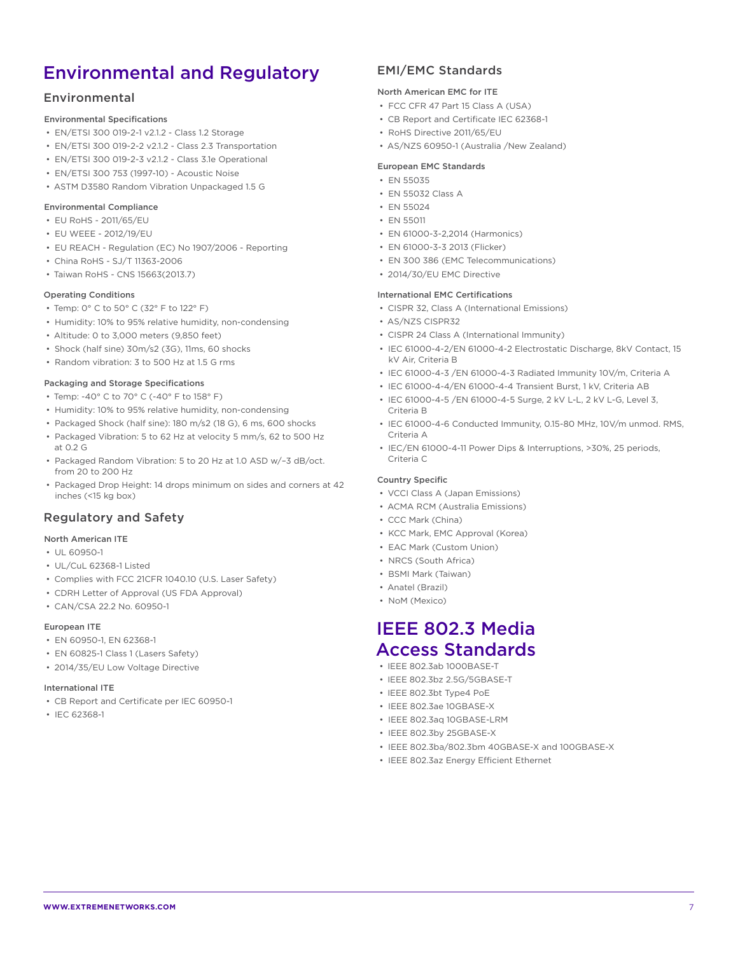## Environmental and Regulatory

### Environmental

### Environmental Specifications

- EN/ETSI 300 019-2-1 v2.1.2 Class 1.2 Storage
- EN/ETSI 300 019-2-2 v2.1.2 Class 2.3 Transportation
- EN/ETSI 300 019-2-3 v2.1.2 Class 3.1e Operational
- EN/ETSI 300 753 (1997-10) Acoustic Noise
- ASTM D3580 Random Vibration Unpackaged 1.5 G

### Environmental Compliance

- EU RoHS 2011/65/EU
- EU WEEE 2012/19/EU
- EU REACH Regulation (EC) No 1907/2006 Reporting
- China RoHS SJ/T 11363-2006
- Taiwan RoHS CNS 15663(2013.7)

#### Operating Conditions

- Temp: 0° C to 50° C (32° F to 122° F)
- Humidity: 10% to 95% relative humidity, non-condensing
- Altitude: 0 to 3,000 meters (9,850 feet)
- Shock (half sine) 30m/s2 (3G), 11ms, 60 shocks
- Random vibration: 3 to 500 Hz at 1.5 G rms

#### Packaging and Storage Specifications

- Temp: -40° C to 70° C (-40° F to 158° F)
- Humidity: 10% to 95% relative humidity, non-condensing
- Packaged Shock (half sine): 180 m/s2 (18 G), 6 ms, 600 shocks
- Packaged Vibration: 5 to 62 Hz at velocity 5 mm/s, 62 to 500 Hz at 0.2 G
- Packaged Random Vibration: 5 to 20 Hz at 1.0 ASD w/–3 dB/oct. from 20 to 200 Hz
- Packaged Drop Height: 14 drops minimum on sides and corners at 42 inches (<15 kg box)

### Regulatory and Safety

### North American ITE

- UL 60950-1
- UL/CuL 62368-1 Listed
- Complies with FCC 21CFR 1040.10 (U.S. Laser Safety)
- CDRH Letter of Approval (US FDA Approval)
- CAN/CSA 22.2 No. 60950-1

### European ITE

- EN 60950-1, EN 62368-1
- EN 60825-1 Class 1 (Lasers Safety)
- 2014/35/EU Low Voltage Directive

#### International ITE

- CB Report and Certificate per IEC 60950-1
- IEC 62368-1

### EMI/EMC Standards

### North American EMC for ITE

- FCC CFR 47 Part 15 Class A (USA)
- CB Report and Certificate IEC 62368-1
- RoHS Directive 2011/65/EU
- AS/NZS 60950-1 (Australia /New Zealand)

#### European EMC Standards

- EN 55035
	- EN 55032 Class A
	- EN 55024
	- EN 55011
	- EN 61000-3-2,2014 (Harmonics)
	- EN 61000-3-3 2013 (Flicker)
	- EN 300 386 (EMC Telecommunications)
- 2014/30/EU EMC Directive

#### International EMC Certifications

- CISPR 32, Class A (International Emissions)
- AS/NZS CISPR32
- CISPR 24 Class A (International Immunity)
- IEC 61000-4-2/EN 61000-4-2 Electrostatic Discharge, 8kV Contact, 15 kV Air, Criteria B
- IEC 61000-4-3 /EN 61000-4-3 Radiated Immunity 10V/m, Criteria A
- IEC 61000-4-4/EN 61000-4-4 Transient Burst, 1 kV, Criteria AB
- IEC 61000-4-5 /EN 61000-4-5 Surge, 2 kV L-L, 2 kV L-G, Level 3, Criteria B
- IEC 61000-4-6 Conducted Immunity, 0.15-80 MHz, 10V/m unmod. RMS, Criteria A
- IEC/EN 61000-4-11 Power Dips & Interruptions, >30%, 25 periods, Criteria C

#### Country Specific

- VCCI Class A (Japan Emissions)
- ACMA RCM (Australia Emissions)
- CCC Mark (China)
- KCC Mark, EMC Approval (Korea)
- EAC Mark (Custom Union)
- NRCS (South Africa)
- BSMI Mark (Taiwan)
- Anatel (Brazil)
- NoM (Mexico)

### IEEE 802.3 Media Access Standards

- IEEE 802.3ab 1000BASE-T
- IEEE 802.3bz 2.5G/5GBASE-T
- IEEE 802.3bt Type4 PoE
- IEEE 802.3ae 10GBASE-X
- IEEE 802.3aq 10GBASE-LRM
- IEEE 802.3by 25GBASE-X
- IEEE 802.3ba/802.3bm 40GBASE-X and 100GBASE-X
- IEEE 802.3az Energy Efficient Ethernet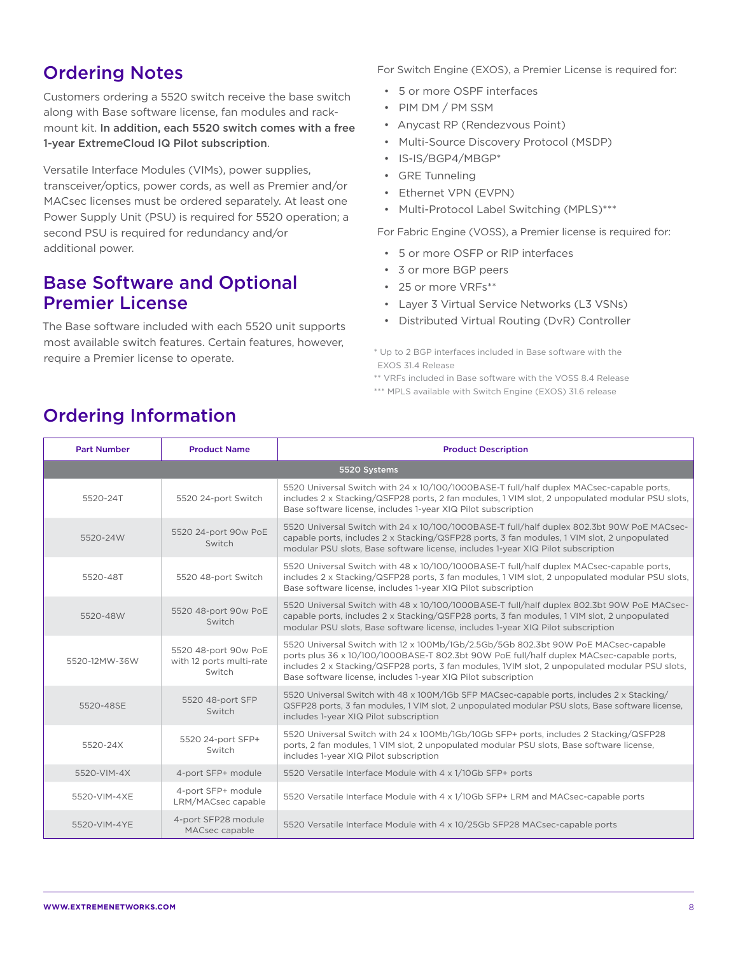## Ordering Notes

Customers ordering a 5520 switch receive the base switch along with Base software license, fan modules and rackmount kit. In addition, each 5520 switch comes with a free 1-year ExtremeCloud IQ Pilot subscription.

Versatile Interface Modules (VIMs), power supplies, transceiver/optics, power cords, as well as Premier and/or MACsec licenses must be ordered separately. At least one Power Supply Unit (PSU) is required for 5520 operation; a second PSU is required for redundancy and/or additional power.

## Base Software and Optional Premier License

The Base software included with each 5520 unit supports most available switch features. Certain features, however, require a Premier license to operate.

For Switch Engine (EXOS), a Premier License is required for:

- 5 or more OSPF interfaces
- PIM DM / PM SSM
- Anycast RP (Rendezvous Point)
- Multi-Source Discovery Protocol (MSDP)
- IS-IS/BGP4/MBGP\*
- GRE Tunneling
- Ethernet VPN (EVPN)
- Multi-Protocol Label Switching (MPLS)\*\*\*

For Fabric Engine (VOSS), a Premier license is required for:

- 5 or more OSFP or RIP interfaces
- 3 or more BGP peers
- 25 or more VRFs\*\*
- Layer 3 Virtual Service Networks (L3 VSNs)
- Distributed Virtual Routing (DvR) Controller

\* Up to 2 BGP interfaces included in Base software with the EXOS 31.4 Release

\*\* VRFs included in Base software with the VOSS 8.4 Release

\*\*\* MPLS available with Switch Engine (EXOS) 31.6 release

| <b>Part Number</b> | <b>Product Name</b>                                        | <b>Product Description</b>                                                                                                                                                                                                                                                                                                                        |  |  |  |
|--------------------|------------------------------------------------------------|---------------------------------------------------------------------------------------------------------------------------------------------------------------------------------------------------------------------------------------------------------------------------------------------------------------------------------------------------|--|--|--|
|                    | 5520 Systems                                               |                                                                                                                                                                                                                                                                                                                                                   |  |  |  |
| 5520-24T           | 5520 24-port Switch                                        | 5520 Universal Switch with 24 x 10/100/1000BASE-T full/half duplex MACsec-capable ports,<br>includes 2 x Stacking/QSFP28 ports, 2 fan modules, 1 VIM slot, 2 unpopulated modular PSU slots,<br>Base software license, includes 1-year XIQ Pilot subscription                                                                                      |  |  |  |
| 5520-24W           | 5520 24-port 90w PoE<br>Switch                             | 5520 Universal Switch with 24 x 10/100/1000BASE-T full/half duplex 802.3bt 90W PoE MACsec-<br>capable ports, includes 2 x Stacking/QSFP28 ports, 3 fan modules, 1 VIM slot, 2 unpopulated<br>modular PSU slots, Base software license, includes 1-year XIQ Pilot subscription                                                                     |  |  |  |
| 5520-48T           | 5520 48-port Switch                                        | 5520 Universal Switch with 48 x 10/100/1000BASE-T full/half duplex MACsec-capable ports,<br>includes 2 x Stacking/QSFP28 ports, 3 fan modules, 1 VIM slot, 2 unpopulated modular PSU slots,<br>Base software license, includes 1-year XIQ Pilot subscription                                                                                      |  |  |  |
| 5520-48W           | 5520 48-port 90w PoE<br>Switch                             | 5520 Universal Switch with 48 x 10/100/1000BASE-T full/half duplex 802.3bt 90W PoE MACsec-<br>capable ports, includes 2 x Stacking/QSFP28 ports, 3 fan modules, 1 VIM slot, 2 unpopulated<br>modular PSU slots, Base software license, includes 1-year XIQ Pilot subscription                                                                     |  |  |  |
| 5520-12MW-36W      | 5520 48-port 90w PoE<br>with 12 ports multi-rate<br>Switch | 5520 Universal Switch with 12 x 100Mb/1Gb/2.5Gb/5Gb 802.3bt 90W PoE MACsec-capable<br>ports plus 36 x 10/100/1000BASE-T 802.3bt 90W PoE full/half duplex MACsec-capable ports,<br>includes 2 x Stacking/QSFP28 ports, 3 fan modules, IVIM slot, 2 unpopulated modular PSU slots,<br>Base software license, includes 1-year XIQ Pilot subscription |  |  |  |
| 5520-48SE          | 5520 48-port SFP<br>Switch                                 | 5520 Universal Switch with 48 x 100M/1Gb SFP MACsec-capable ports, includes 2 x Stacking/<br>QSFP28 ports, 3 fan modules, 1 VIM slot, 2 unpopulated modular PSU slots, Base software license,<br>includes 1-year XIQ Pilot subscription                                                                                                           |  |  |  |
| 5520-24X           | 5520 24-port SFP+<br>Switch                                | 5520 Universal Switch with 24 x 100Mb/1Gb/10Gb SFP+ ports, includes 2 Stacking/QSFP28<br>ports, 2 fan modules, 1 VIM slot, 2 unpopulated modular PSU slots, Base software license,<br>includes 1-year XIQ Pilot subscription                                                                                                                      |  |  |  |
| 5520-VIM-4X        | 4-port SFP+ module                                         | 5520 Versatile Interface Module with 4 x 1/10Gb SFP+ ports                                                                                                                                                                                                                                                                                        |  |  |  |
| 5520-VIM-4XE       | 4-port SFP+ module<br>LRM/MACsec capable                   | 5520 Versatile Interface Module with 4 x 1/10Gb SFP+ LRM and MACsec-capable ports                                                                                                                                                                                                                                                                 |  |  |  |
| 5520-VIM-4YE       | 4-port SFP28 module<br>MACsec capable                      | 5520 Versatile Interface Module with 4 x 10/25Gb SFP28 MACsec-capable ports                                                                                                                                                                                                                                                                       |  |  |  |

## Ordering Information